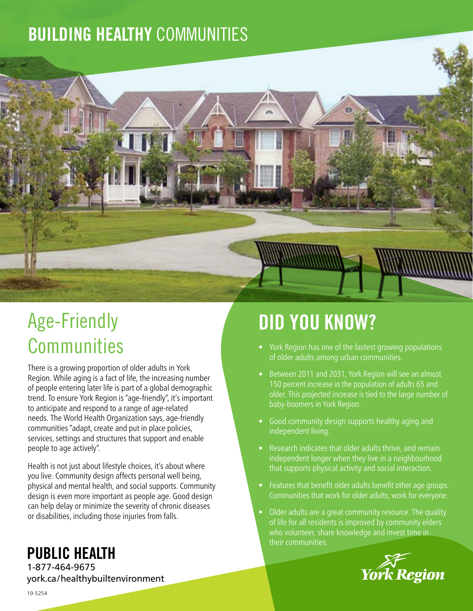### BUILDING HEALTHY COMMUNITIES



# Age-Friendly **Communities**

There is a growing proportion of older adults in York Region. While aging is a fact of life, the increasing number of people entering later life is part of a global demographic trend. To ensure York Region is "age-friendly", it's important to anticipate and respond to a range of age-related needs. The World Health Organization says, age-friendly communities "adapt, create and put in place policies, services, settings and structures that support and enable people to age actively".

Health is not just about lifestyle choices, it's about where you live. Community design affects personal well being, physical and mental health, and social supports. Community design is even more important as people age. Good design can help delay or minimize the severity of chronic diseases or disabilities, including those injuries from falls.

# DID YOU KNOW?

- York Region has one of the fastest growing populations of older adults among urban communities.
- Between 2011 and 2031, York Region will see an almost 150 percent increase in the population of adults 65 and older. This projected increase is tied to the large number of baby-boomers in York Region.
- Good community design supports healthy aging and independent living.
- Research indicates that older adults thrive, and remain independent longer when they live in a neighbourhood that supports physical activity and social interaction.
- Features that benefit older adults benefit other age groups. Communities that work for older adults, work for everyone.
- Older adults are a great community resource. The quality of life for all residents is improved by community elders who volunteer, share knowledge and invest time in their communities.



### PUBLIC HEALTH

1-877-464-9675 york.ca/healthybuiltenvironment